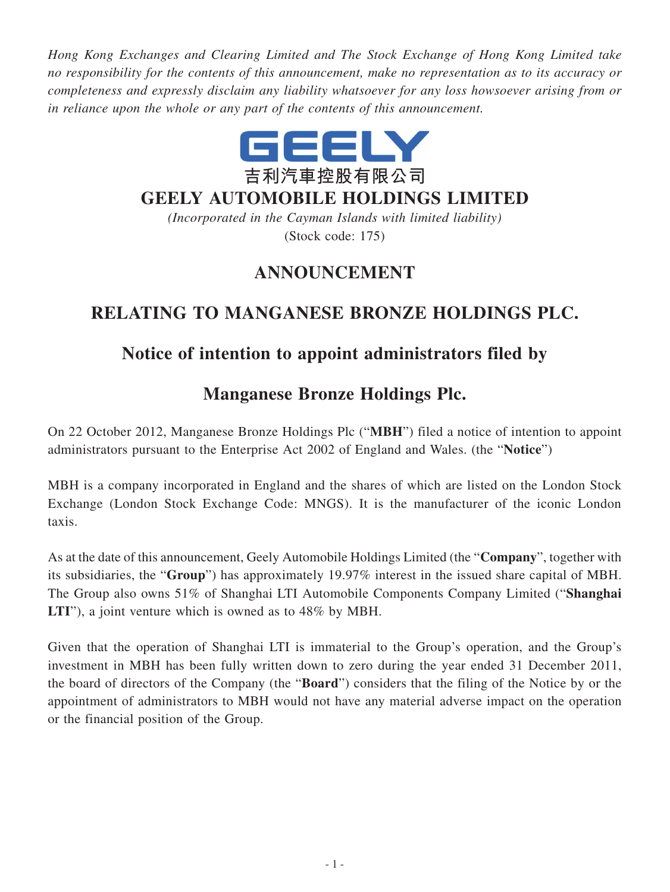*Hong Kong Exchanges and Clearing Limited and The Stock Exchange of Hong Kong Limited take no responsibility for the contents of this announcement, make no representation as to its accuracy or completeness and expressly disclaim any liability whatsoever for any loss howsoever arising from or in reliance upon the whole or any part of the contents of this announcement.*



#### **GEELY AUTOMOBILE HOLDINGS LIMITED**

*(Incorporated in the Cayman Islands with limited liability)* (Stock code: 175)

## **ANNOUNCEMENT**

# **RELATING TO MANGANESE BRONZE HOLDINGS PLC.**

## **Notice of intention to appoint administrators filed by**

## **Manganese Bronze Holdings Plc.**

On 22 October 2012, Manganese Bronze Holdings Plc ("**MBH**") filed a notice of intention to appoint administrators pursuant to the Enterprise Act 2002 of England and Wales. (the "**Notice**")

MBH is a company incorporated in England and the shares of which are listed on the London Stock Exchange (London Stock Exchange Code: MNGS). It is the manufacturer of the iconic London taxis.

As at the date of this announcement, Geely Automobile Holdings Limited (the "**Company**", together with its subsidiaries, the "**Group**") has approximately 19.97% interest in the issued share capital of MBH. The Group also owns 51% of Shanghai LTI Automobile Components Company Limited ("**Shanghai LTI**"), a joint venture which is owned as to 48% by MBH.

Given that the operation of Shanghai LTI is immaterial to the Group's operation, and the Group's investment in MBH has been fully written down to zero during the year ended 31 December 2011, the board of directors of the Company (the "**Board**") considers that the filing of the Notice by or the appointment of administrators to MBH would not have any material adverse impact on the operation or the financial position of the Group.